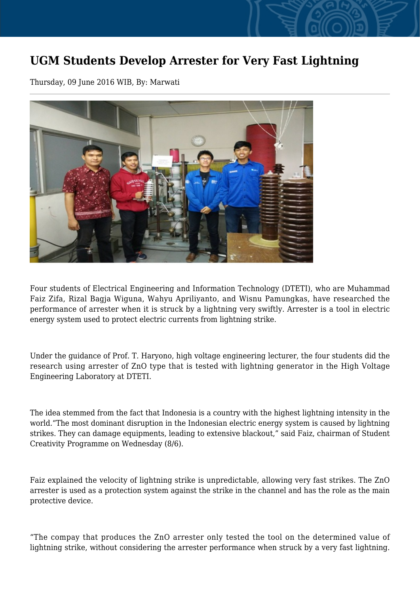## **UGM Students Develop Arrester for Very Fast Lightning**

Thursday, 09 June 2016 WIB, By: Marwati



Four students of Electrical Engineering and Information Technology (DTETI), who are Muhammad Faiz Zifa, Rizal Bagja Wiguna, Wahyu Apriliyanto, and Wisnu Pamungkas, have researched the performance of arrester when it is struck by a lightning very swiftly. Arrester is a tool in electric energy system used to protect electric currents from lightning strike.

Under the guidance of Prof. T. Haryono, high voltage engineering lecturer, the four students did the research using arrester of ZnO type that is tested with lightning generator in the High Voltage Engineering Laboratory at DTETI.

The idea stemmed from the fact that Indonesia is a country with the highest lightning intensity in the world."The most dominant disruption in the Indonesian electric energy system is caused by lightning strikes. They can damage equipments, leading to extensive blackout," said Faiz, chairman of Student Creativity Programme on Wednesday (8/6).

Faiz explained the velocity of lightning strike is unpredictable, allowing very fast strikes. The ZnO arrester is used as a protection system against the strike in the channel and has the role as the main protective device.

"The compay that produces the ZnO arrester only tested the tool on the determined value of lightning strike, without considering the arrester performance when struck by a very fast lightning.